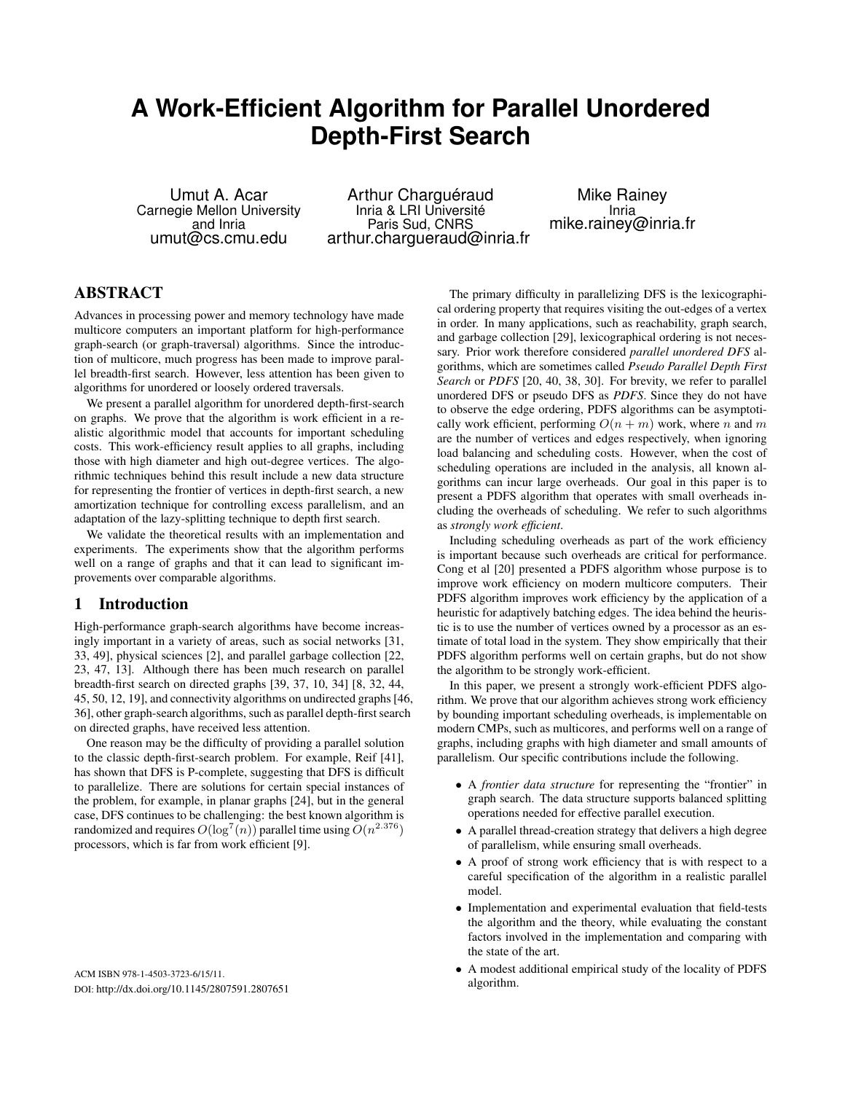# **A Work-Efficient Algorithm for Parallel Unordered Depth-First Search**

Umut A. Acar Carnegie Mellon University and Inria umut@cs.cmu.edu

Arthur Charguéraud Inria & LRI Université Paris Sud, CNRS arthur.chargueraud@inria.fr

Mike Rainey Inria mike.rainey@inria.fr

# ABSTRACT

Advances in processing power and memory technology have made multicore computers an important platform for high-performance graph-search (or graph-traversal) algorithms. Since the introduction of multicore, much progress has been made to improve parallel breadth-first search. However, less attention has been given to algorithms for unordered or loosely ordered traversals.

We present a parallel algorithm for unordered depth-first-search on graphs. We prove that the algorithm is work efficient in a realistic algorithmic model that accounts for important scheduling costs. This work-efficiency result applies to all graphs, including those with high diameter and high out-degree vertices. The algorithmic techniques behind this result include a new data structure for representing the frontier of vertices in depth-first search, a new amortization technique for controlling excess parallelism, and an adaptation of the lazy-splitting technique to depth first search.

We validate the theoretical results with an implementation and experiments. The experiments show that the algorithm performs well on a range of graphs and that it can lead to significant improvements over comparable algorithms.

### 1 Introduction

High-performance graph-search algorithms have become increasingly important in a variety of areas, such as social networks [31, 33, 49], physical sciences [2], and parallel garbage collection [22, 23, 47, 13]. Although there has been much research on parallel breadth-first search on directed graphs [39, 37, 10, 34] [8, 32, 44, 45, 50, 12, 19], and connectivity algorithms on undirected graphs [46, 36], other graph-search algorithms, such as parallel depth-first search on directed graphs, have received less attention.

One reason may be the difficulty of providing a parallel solution to the classic depth-first-search problem. For example, Reif [41], has shown that DFS is P-complete, suggesting that DFS is difficult to parallelize. There are solutions for certain special instances of the problem, for example, in planar graphs [24], but in the general case, DFS continues to be challenging: the best known algorithm is randomized and requires  $O(\log^7(n))$  parallel time using  $O(n^{2.376})$ processors, which is far from work efficient [9].

ACM ISBN 978-1-4503-3723-6/15/11. DOI: http://dx.doi.org/10.1145/2807591.2807651

The primary difficulty in parallelizing DFS is the lexicographical ordering property that requires visiting the out-edges of a vertex in order. In many applications, such as reachability, graph search, and garbage collection [29], lexicographical ordering is not necessary. Prior work therefore considered *parallel unordered DFS* algorithms, which are sometimes called *Pseudo Parallel Depth First Search* or *PDFS* [20, 40, 38, 30]. For brevity, we refer to parallel unordered DFS or pseudo DFS as *PDFS*. Since they do not have to observe the edge ordering, PDFS algorithms can be asymptotically work efficient, performing  $O(n + m)$  work, where n and m are the number of vertices and edges respectively, when ignoring load balancing and scheduling costs. However, when the cost of scheduling operations are included in the analysis, all known algorithms can incur large overheads. Our goal in this paper is to present a PDFS algorithm that operates with small overheads including the overheads of scheduling. We refer to such algorithms as *strongly work efficient*.

Including scheduling overheads as part of the work efficiency is important because such overheads are critical for performance. Cong et al [20] presented a PDFS algorithm whose purpose is to improve work efficiency on modern multicore computers. Their PDFS algorithm improves work efficiency by the application of a heuristic for adaptively batching edges. The idea behind the heuristic is to use the number of vertices owned by a processor as an estimate of total load in the system. They show empirically that their PDFS algorithm performs well on certain graphs, but do not show the algorithm to be strongly work-efficient.

In this paper, we present a strongly work-efficient PDFS algorithm. We prove that our algorithm achieves strong work efficiency by bounding important scheduling overheads, is implementable on modern CMPs, such as multicores, and performs well on a range of graphs, including graphs with high diameter and small amounts of parallelism. Our specific contributions include the following.

- A *frontier data structure* for representing the "frontier" in graph search. The data structure supports balanced splitting operations needed for effective parallel execution.
- A parallel thread-creation strategy that delivers a high degree of parallelism, while ensuring small overheads.
- A proof of strong work efficiency that is with respect to a careful specification of the algorithm in a realistic parallel model.
- Implementation and experimental evaluation that field-tests the algorithm and the theory, while evaluating the constant factors involved in the implementation and comparing with the state of the art.
- A modest additional empirical study of the locality of PDFS algorithm.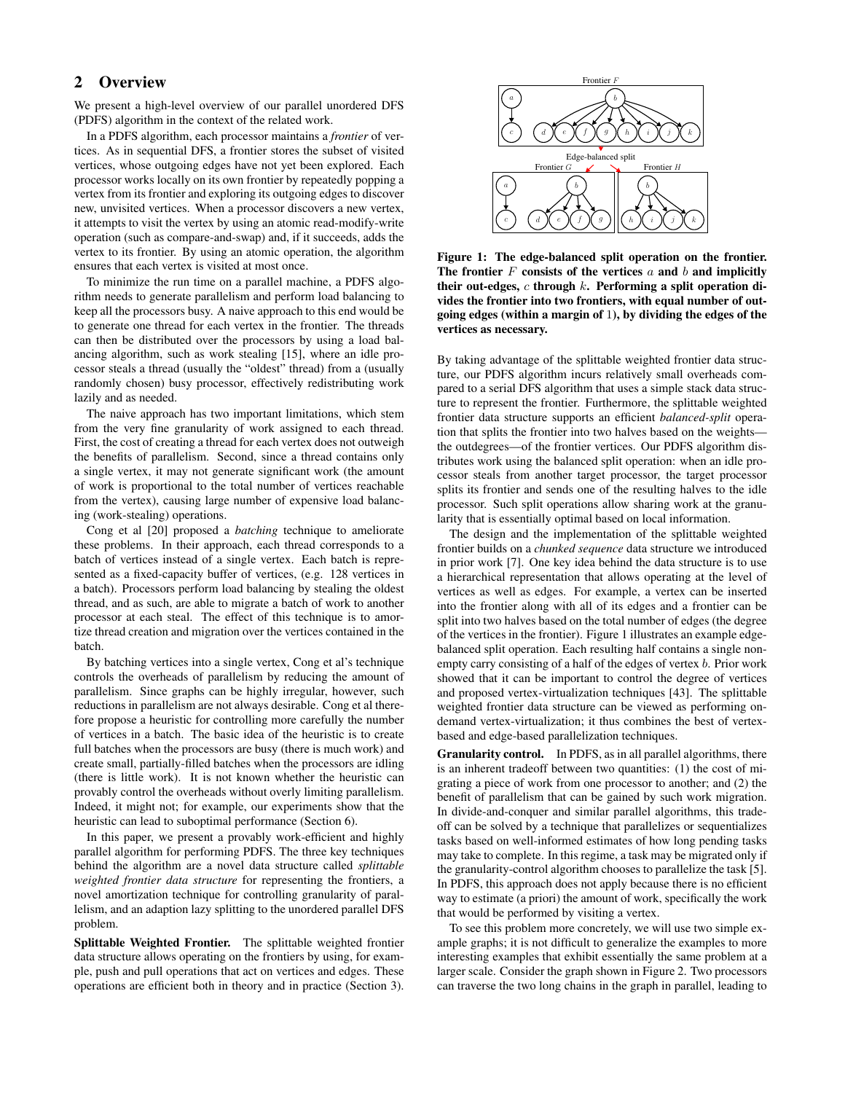# 2 Overview

We present a high-level overview of our parallel unordered DFS (PDFS) algorithm in the context of the related work.

In a PDFS algorithm, each processor maintains a *frontier* of vertices. As in sequential DFS, a frontier stores the subset of visited vertices, whose outgoing edges have not yet been explored. Each processor works locally on its own frontier by repeatedly popping a vertex from its frontier and exploring its outgoing edges to discover new, unvisited vertices. When a processor discovers a new vertex, it attempts to visit the vertex by using an atomic read-modify-write operation (such as compare-and-swap) and, if it succeeds, adds the vertex to its frontier. By using an atomic operation, the algorithm ensures that each vertex is visited at most once.

To minimize the run time on a parallel machine, a PDFS algorithm needs to generate parallelism and perform load balancing to keep all the processors busy. A naive approach to this end would be to generate one thread for each vertex in the frontier. The threads can then be distributed over the processors by using a load balancing algorithm, such as work stealing [15], where an idle processor steals a thread (usually the "oldest" thread) from a (usually randomly chosen) busy processor, effectively redistributing work lazily and as needed.

The naive approach has two important limitations, which stem from the very fine granularity of work assigned to each thread. First, the cost of creating a thread for each vertex does not outweigh the benefits of parallelism. Second, since a thread contains only a single vertex, it may not generate significant work (the amount of work is proportional to the total number of vertices reachable from the vertex), causing large number of expensive load balancing (work-stealing) operations.

Cong et al [20] proposed a *batching* technique to ameliorate these problems. In their approach, each thread corresponds to a batch of vertices instead of a single vertex. Each batch is represented as a fixed-capacity buffer of vertices, (e.g. 128 vertices in a batch). Processors perform load balancing by stealing the oldest thread, and as such, are able to migrate a batch of work to another processor at each steal. The effect of this technique is to amortize thread creation and migration over the vertices contained in the batch.

By batching vertices into a single vertex, Cong et al's technique controls the overheads of parallelism by reducing the amount of parallelism. Since graphs can be highly irregular, however, such reductions in parallelism are not always desirable. Cong et al therefore propose a heuristic for controlling more carefully the number of vertices in a batch. The basic idea of the heuristic is to create full batches when the processors are busy (there is much work) and create small, partially-filled batches when the processors are idling (there is little work). It is not known whether the heuristic can provably control the overheads without overly limiting parallelism. Indeed, it might not; for example, our experiments show that the heuristic can lead to suboptimal performance (Section 6).

In this paper, we present a provably work-efficient and highly parallel algorithm for performing PDFS. The three key techniques behind the algorithm are a novel data structure called *splittable weighted frontier data structure* for representing the frontiers, a novel amortization technique for controlling granularity of parallelism, and an adaption lazy splitting to the unordered parallel DFS problem.

Splittable Weighted Frontier. The splittable weighted frontier data structure allows operating on the frontiers by using, for example, push and pull operations that act on vertices and edges. These operations are efficient both in theory and in practice (Section 3).



Figure 1: The edge-balanced split operation on the frontier. The frontier  $F$  consists of the vertices  $a$  and  $b$  and implicitly their out-edges,  $c$  through  $k$ . Performing a split operation divides the frontier into two frontiers, with equal number of outgoing edges (within a margin of 1), by dividing the edges of the vertices as necessary.

By taking advantage of the splittable weighted frontier data structure, our PDFS algorithm incurs relatively small overheads compared to a serial DFS algorithm that uses a simple stack data structure to represent the frontier. Furthermore, the splittable weighted frontier data structure supports an efficient *balanced-split* operation that splits the frontier into two halves based on the weights the outdegrees—of the frontier vertices. Our PDFS algorithm distributes work using the balanced split operation: when an idle processor steals from another target processor, the target processor splits its frontier and sends one of the resulting halves to the idle processor. Such split operations allow sharing work at the granularity that is essentially optimal based on local information.

The design and the implementation of the splittable weighted frontier builds on a *chunked sequence* data structure we introduced in prior work [7]. One key idea behind the data structure is to use a hierarchical representation that allows operating at the level of vertices as well as edges. For example, a vertex can be inserted into the frontier along with all of its edges and a frontier can be split into two halves based on the total number of edges (the degree of the vertices in the frontier). Figure 1 illustrates an example edgebalanced split operation. Each resulting half contains a single nonempty carry consisting of a half of the edges of vertex b. Prior work showed that it can be important to control the degree of vertices and proposed vertex-virtualization techniques [43]. The splittable weighted frontier data structure can be viewed as performing ondemand vertex-virtualization; it thus combines the best of vertexbased and edge-based parallelization techniques.

Granularity control. In PDFS, as in all parallel algorithms, there is an inherent tradeoff between two quantities: (1) the cost of migrating a piece of work from one processor to another; and (2) the benefit of parallelism that can be gained by such work migration. In divide-and-conquer and similar parallel algorithms, this tradeoff can be solved by a technique that parallelizes or sequentializes tasks based on well-informed estimates of how long pending tasks may take to complete. In this regime, a task may be migrated only if the granularity-control algorithm chooses to parallelize the task [5]. In PDFS, this approach does not apply because there is no efficient way to estimate (a priori) the amount of work, specifically the work that would be performed by visiting a vertex.

To see this problem more concretely, we will use two simple example graphs; it is not difficult to generalize the examples to more interesting examples that exhibit essentially the same problem at a larger scale. Consider the graph shown in Figure 2. Two processors can traverse the two long chains in the graph in parallel, leading to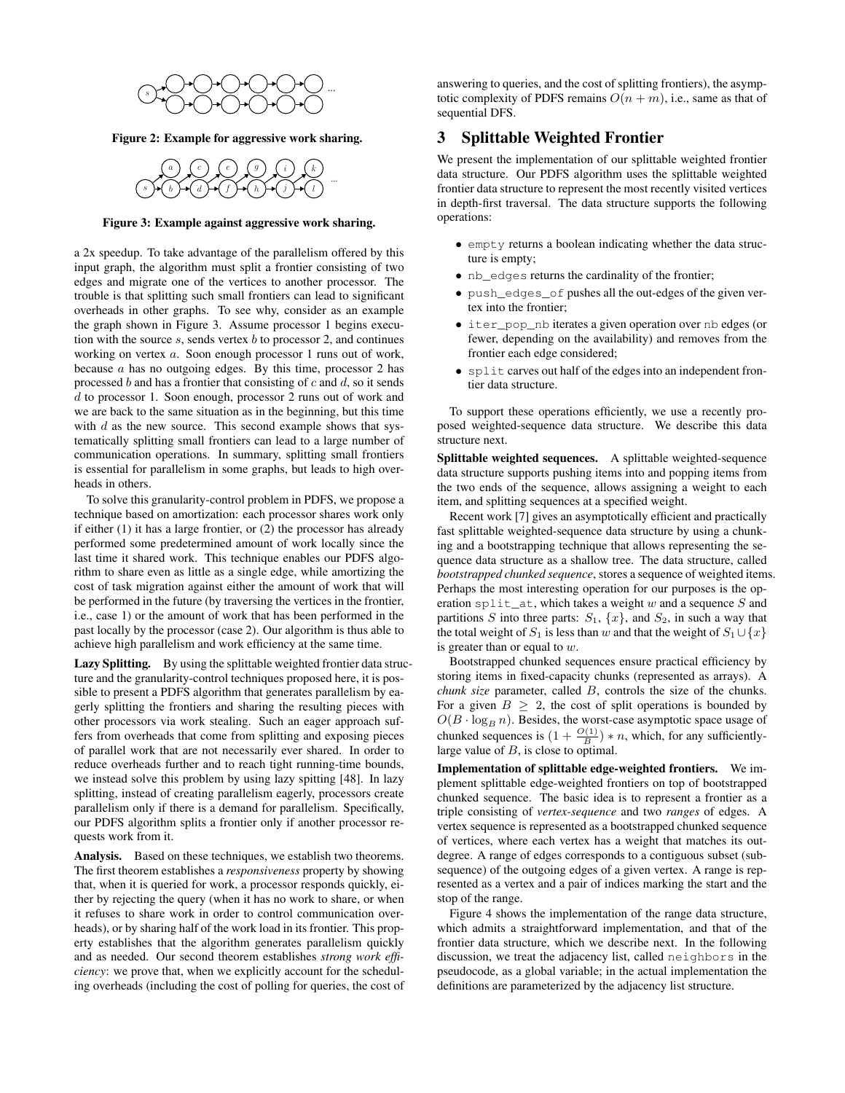

Figure 2: Example for aggressive work sharing.



#### Figure 3: Example against aggressive work sharing.

a 2x speedup. To take advantage of the parallelism offered by this input graph, the algorithm must split a frontier consisting of two edges and migrate one of the vertices to another processor. The trouble is that splitting such small frontiers can lead to significant overheads in other graphs. To see why, consider as an example the graph shown in Figure 3. Assume processor 1 begins execution with the source  $s$ , sends vertex  $b$  to processor 2, and continues working on vertex a. Soon enough processor 1 runs out of work, because  $\alpha$  has no outgoing edges. By this time, processor 2 has processed  $b$  and has a frontier that consisting of  $c$  and  $d$ , so it sends d to processor 1. Soon enough, processor 2 runs out of work and we are back to the same situation as in the beginning, but this time with  $d$  as the new source. This second example shows that systematically splitting small frontiers can lead to a large number of communication operations. In summary, splitting small frontiers is essential for parallelism in some graphs, but leads to high overheads in others.

To solve this granularity-control problem in PDFS, we propose a technique based on amortization: each processor shares work only if either (1) it has a large frontier, or (2) the processor has already performed some predetermined amount of work locally since the last time it shared work. This technique enables our PDFS algorithm to share even as little as a single edge, while amortizing the cost of task migration against either the amount of work that will be performed in the future (by traversing the vertices in the frontier, i.e., case 1) or the amount of work that has been performed in the past locally by the processor (case 2). Our algorithm is thus able to achieve high parallelism and work efficiency at the same time.

Lazy Splitting. By using the splittable weighted frontier data structure and the granularity-control techniques proposed here, it is possible to present a PDFS algorithm that generates parallelism by eagerly splitting the frontiers and sharing the resulting pieces with other processors via work stealing. Such an eager approach suffers from overheads that come from splitting and exposing pieces of parallel work that are not necessarily ever shared. In order to reduce overheads further and to reach tight running-time bounds, we instead solve this problem by using lazy spitting [48]. In lazy splitting, instead of creating parallelism eagerly, processors create parallelism only if there is a demand for parallelism. Specifically, our PDFS algorithm splits a frontier only if another processor requests work from it.

Analysis. Based on these techniques, we establish two theorems. The first theorem establishes a *responsiveness* property by showing that, when it is queried for work, a processor responds quickly, either by rejecting the query (when it has no work to share, or when it refuses to share work in order to control communication overheads), or by sharing half of the work load in its frontier. This property establishes that the algorithm generates parallelism quickly and as needed. Our second theorem establishes *strong work efficiency*: we prove that, when we explicitly account for the scheduling overheads (including the cost of polling for queries, the cost of answering to queries, and the cost of splitting frontiers), the asymptotic complexity of PDFS remains  $O(n + m)$ , i.e., same as that of sequential DFS.

## 3 Splittable Weighted Frontier

We present the implementation of our splittable weighted frontier data structure. Our PDFS algorithm uses the splittable weighted frontier data structure to represent the most recently visited vertices in depth-first traversal. The data structure supports the following operations:

- empty returns a boolean indicating whether the data structure is empty;
- nb edges returns the cardinality of the frontier;
- push\_edges\_of pushes all the out-edges of the given vertex into the frontier;
- iter pop nb iterates a given operation over nb edges (or fewer, depending on the availability) and removes from the frontier each edge considered;
- split carves out half of the edges into an independent frontier data structure.

To support these operations efficiently, we use a recently proposed weighted-sequence data structure. We describe this data structure next.

Splittable weighted sequences. A splittable weighted-sequence data structure supports pushing items into and popping items from the two ends of the sequence, allows assigning a weight to each item, and splitting sequences at a specified weight.

Recent work [7] gives an asymptotically efficient and practically fast splittable weighted-sequence data structure by using a chunking and a bootstrapping technique that allows representing the sequence data structure as a shallow tree. The data structure, called *bootstrapped chunked sequence*, stores a sequence of weighted items. Perhaps the most interesting operation for our purposes is the operation split\_at, which takes a weight w and a sequence S and partitions S into three parts:  $S_1$ ,  $\{x\}$ , and  $S_2$ , in such a way that the total weight of  $S_1$  is less than w and that the weight of  $S_1 \cup \{x\}$ is greater than or equal to  $w$ .

Bootstrapped chunked sequences ensure practical efficiency by storing items in fixed-capacity chunks (represented as arrays). A *chunk size* parameter, called B, controls the size of the chunks. For a given  $B \geq 2$ , the cost of split operations is bounded by  $O(B \cdot \log_B n)$ . Besides, the worst-case asymptotic space usage of chunked sequences is  $(1 + \frac{O(1)}{B}) * n$ , which, for any sufficientlylarge value of  $B$ , is close to optimal.

Implementation of splittable edge-weighted frontiers. We implement splittable edge-weighted frontiers on top of bootstrapped chunked sequence. The basic idea is to represent a frontier as a triple consisting of *vertex-sequence* and two *ranges* of edges. A vertex sequence is represented as a bootstrapped chunked sequence of vertices, where each vertex has a weight that matches its outdegree. A range of edges corresponds to a contiguous subset (subsequence) of the outgoing edges of a given vertex. A range is represented as a vertex and a pair of indices marking the start and the stop of the range.

Figure 4 shows the implementation of the range data structure, which admits a straightforward implementation, and that of the frontier data structure, which we describe next. In the following discussion, we treat the adjacency list, called neighbors in the pseudocode, as a global variable; in the actual implementation the definitions are parameterized by the adjacency list structure.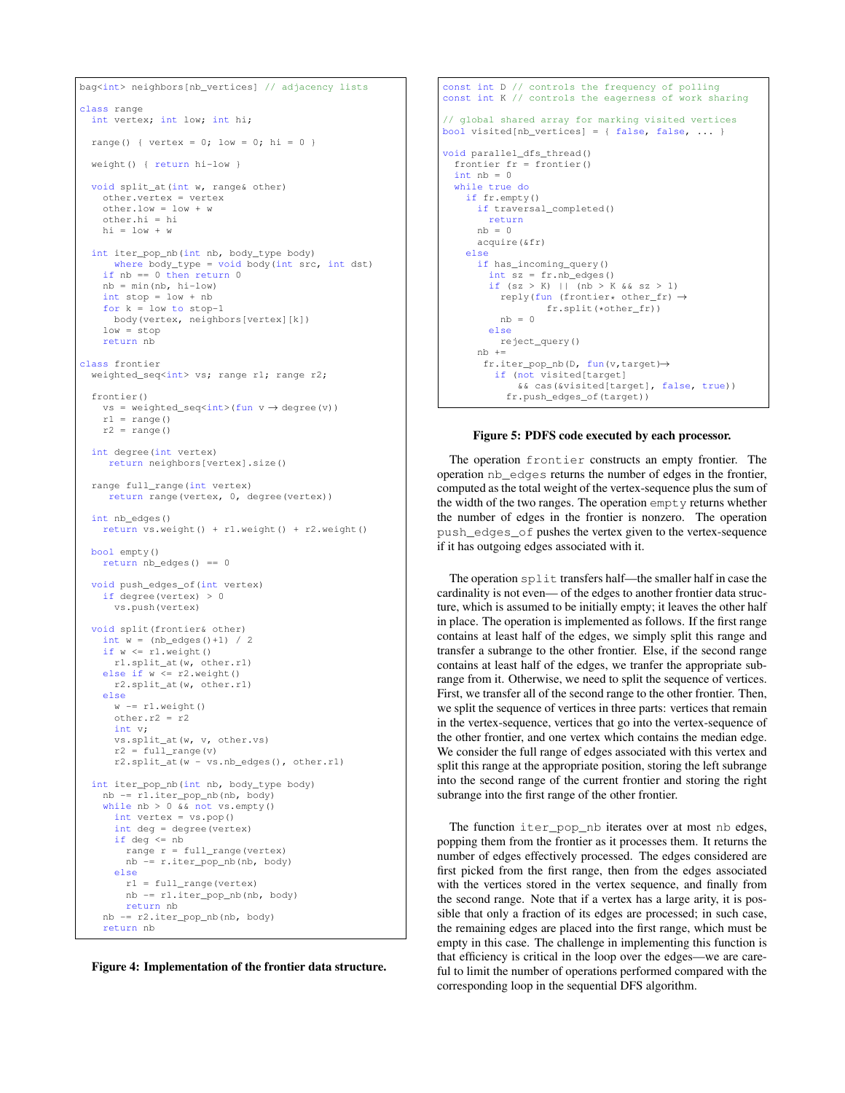```
bag<int> neighbors[nb_vertices] // adjacency lists
class range
  int vertex; int low; int hi;
  range() { vertex = 0; low = 0; hi = 0 }
  weight() { return hi-low }
  void split_at(int w, range& other)
    other.vertex = vertex
    other.low = low + w
    other.hi = hi
    hi = low + wint iter_pop_nb(int nb, body_type body)
     where body_type = void body(int src, int dst)
    if nb == 0 then return 0nb = min(nb, hi-low)int stop = low + nb
    for k = 1ow to stop-1
     body(vertex, neighbors[vertex][k])
    low = stopreturn nb
class frontier
  weighted_seq<int> vs; range r1; range r2;
  frontier()
    vs = weighted\_seq<int>(fun v \rightarrow degree(v))r1 = range()r2 = \text{range(1)}int degree(int vertex)
    return neighbors[vertex].size()
  range full range(int vertex)
    return range(vertex, 0, degree(vertex))
  int nb_edges()
    return vs.weight() + r1.weight() + r2.weight()
  bool empty()
   return nb_edges() == 0
  void push_edges_of(int vertex)
    if degree(vertex) > 0
     vs.push(vertex)
  void split(frontier& other)
    int w = (nb_e dges() + 1) / 2if w \leq r1. weight ()
      r1.split_at(w, other.r1)
    else if w \le r2. weight ()
      r2.split_at(w, other.r1)
    else
      w = r1.weight()
      other.r2 = r2int v;
      vs.split_at(w, v, other.vs)
      r2 = full\_range(v)r2.split_at(w - vs.nb_eedges(), other.r1)
  int iter_pop_nb(int nb, body_type body)
   nb -= r1.iter_pop_nb(nb, body)
    while nb > 0 && not vs.empty()
      int vertex = vs.pop()
      int deg = degree(vertex)
      if deq \leq nbrange r = full_range(vertex)
       nb -= r.iter_pop_nb(nb, body)
      else
        r1 = full_range(vertex)
        nb -= r1.iter_pop_nb(nb, body)
        return nb
    nb -= r2.iter_pop_nb(nb, body)
    return nb
```


```
const int D // controls the frequency of polling
const int K // controls the eagerness of work sharing
// global shared array for marking visited vertices
bool visited[nb_vertices] = { false, false, ... }
void parallel_dfs_thread()
 frontier fr = frontier()
 int nb = 0while true do
   if fr.empty()
     if traversal completed()
       return
     nb = 0acquire(&fr)
   else
     if has_incoming_query()
       int sz = fr.nb_edges()
       if (sz > K) || (nb > K && sz > 1)
         reply(fun (frontier* other_fr) →
                fr.split(*other_fr))
         nh = 0else
         reject_query()
     nh +=fr.iter_pop_nb(D, fun(v,target)→
        if (not visited[target]
            && cas(&visited[target], false, true))
           fr.push_edges_of(target))
```
#### Figure 5: PDFS code executed by each processor.

The operation frontier constructs an empty frontier. The operation nb\_edges returns the number of edges in the frontier, computed as the total weight of the vertex-sequence plus the sum of the width of the two ranges. The operation empty returns whether the number of edges in the frontier is nonzero. The operation push\_edges\_of pushes the vertex given to the vertex-sequence if it has outgoing edges associated with it.

The operation split transfers half—the smaller half in case the cardinality is not even— of the edges to another frontier data structure, which is assumed to be initially empty; it leaves the other half in place. The operation is implemented as follows. If the first range contains at least half of the edges, we simply split this range and transfer a subrange to the other frontier. Else, if the second range contains at least half of the edges, we tranfer the appropriate subrange from it. Otherwise, we need to split the sequence of vertices. First, we transfer all of the second range to the other frontier. Then, we split the sequence of vertices in three parts: vertices that remain in the vertex-sequence, vertices that go into the vertex-sequence of the other frontier, and one vertex which contains the median edge. We consider the full range of edges associated with this vertex and split this range at the appropriate position, storing the left subrange into the second range of the current frontier and storing the right subrange into the first range of the other frontier.

The function iter\_pop\_nb iterates over at most nb edges, popping them from the frontier as it processes them. It returns the number of edges effectively processed. The edges considered are first picked from the first range, then from the edges associated with the vertices stored in the vertex sequence, and finally from the second range. Note that if a vertex has a large arity, it is possible that only a fraction of its edges are processed; in such case, the remaining edges are placed into the first range, which must be empty in this case. The challenge in implementing this function is that efficiency is critical in the loop over the edges—we are careful to limit the number of operations performed compared with the corresponding loop in the sequential DFS algorithm.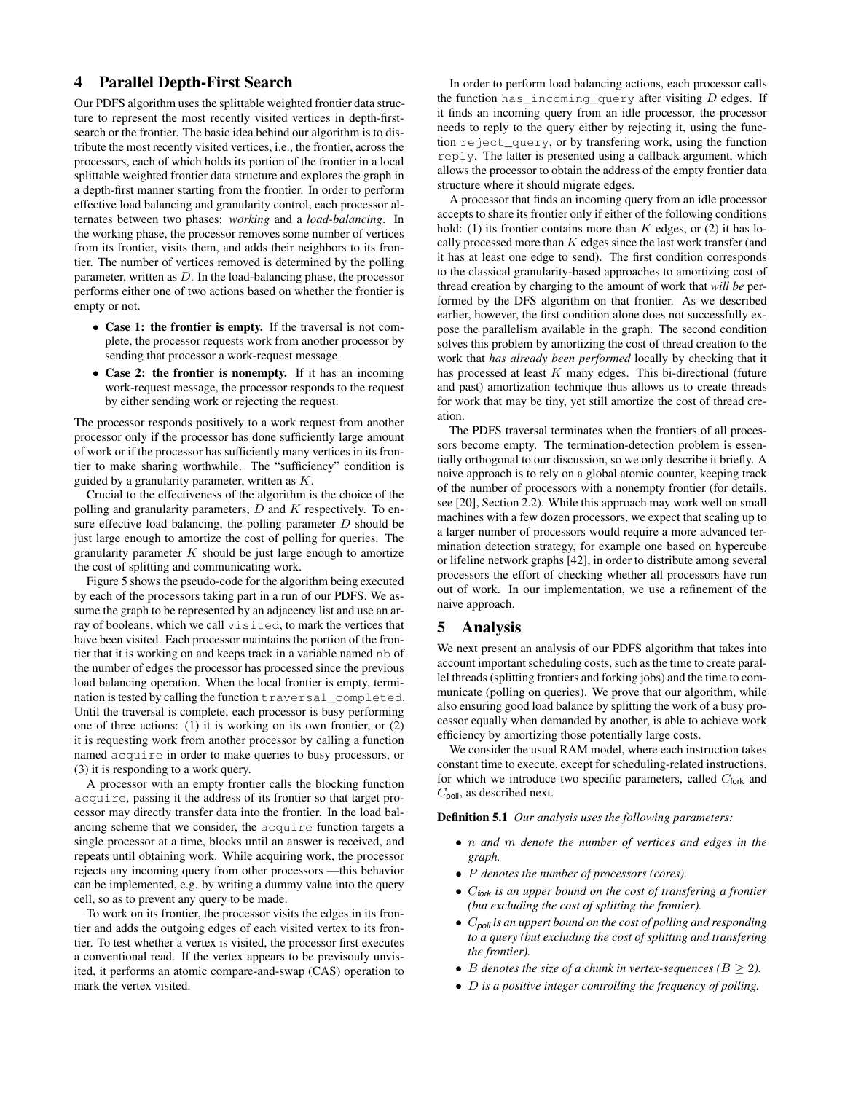# 4 Parallel Depth-First Search

Our PDFS algorithm uses the splittable weighted frontier data structure to represent the most recently visited vertices in depth-firstsearch or the frontier. The basic idea behind our algorithm is to distribute the most recently visited vertices, i.e., the frontier, across the processors, each of which holds its portion of the frontier in a local splittable weighted frontier data structure and explores the graph in a depth-first manner starting from the frontier. In order to perform effective load balancing and granularity control, each processor alternates between two phases: *working* and a *load-balancing*. In the working phase, the processor removes some number of vertices from its frontier, visits them, and adds their neighbors to its frontier. The number of vertices removed is determined by the polling parameter, written as D. In the load-balancing phase, the processor performs either one of two actions based on whether the frontier is empty or not.

- Case 1: the frontier is empty. If the traversal is not complete, the processor requests work from another processor by sending that processor a work-request message.
- Case 2: the frontier is nonempty. If it has an incoming work-request message, the processor responds to the request by either sending work or rejecting the request.

The processor responds positively to a work request from another processor only if the processor has done sufficiently large amount of work or if the processor has sufficiently many vertices in its frontier to make sharing worthwhile. The "sufficiency" condition is guided by a granularity parameter, written as  $K$ .

Crucial to the effectiveness of the algorithm is the choice of the polling and granularity parameters,  $D$  and  $K$  respectively. To ensure effective load balancing, the polling parameter  $D$  should be just large enough to amortize the cost of polling for queries. The granularity parameter  $K$  should be just large enough to amortize the cost of splitting and communicating work.

Figure 5 shows the pseudo-code for the algorithm being executed by each of the processors taking part in a run of our PDFS. We assume the graph to be represented by an adjacency list and use an array of booleans, which we call visited, to mark the vertices that have been visited. Each processor maintains the portion of the frontier that it is working on and keeps track in a variable named nb of the number of edges the processor has processed since the previous load balancing operation. When the local frontier is empty, termination is tested by calling the function traversal\_completed. Until the traversal is complete, each processor is busy performing one of three actions: (1) it is working on its own frontier, or (2) it is requesting work from another processor by calling a function named acquire in order to make queries to busy processors, or (3) it is responding to a work query.

A processor with an empty frontier calls the blocking function acquire, passing it the address of its frontier so that target processor may directly transfer data into the frontier. In the load balancing scheme that we consider, the acquire function targets a single processor at a time, blocks until an answer is received, and repeats until obtaining work. While acquiring work, the processor rejects any incoming query from other processors —this behavior can be implemented, e.g. by writing a dummy value into the query cell, so as to prevent any query to be made.

To work on its frontier, the processor visits the edges in its frontier and adds the outgoing edges of each visited vertex to its frontier. To test whether a vertex is visited, the processor first executes a conventional read. If the vertex appears to be previsouly unvisited, it performs an atomic compare-and-swap (CAS) operation to mark the vertex visited.

In order to perform load balancing actions, each processor calls the function has incoming query after visiting  $D$  edges. If it finds an incoming query from an idle processor, the processor needs to reply to the query either by rejecting it, using the function reject\_query, or by transfering work, using the function reply. The latter is presented using a callback argument, which allows the processor to obtain the address of the empty frontier data structure where it should migrate edges.

A processor that finds an incoming query from an idle processor accepts to share its frontier only if either of the following conditions hold: (1) its frontier contains more than  $K$  edges, or (2) it has locally processed more than  $K$  edges since the last work transfer (and it has at least one edge to send). The first condition corresponds to the classical granularity-based approaches to amortizing cost of thread creation by charging to the amount of work that *will be* performed by the DFS algorithm on that frontier. As we described earlier, however, the first condition alone does not successfully expose the parallelism available in the graph. The second condition solves this problem by amortizing the cost of thread creation to the work that *has already been performed* locally by checking that it has processed at least  $K$  many edges. This bi-directional (future and past) amortization technique thus allows us to create threads for work that may be tiny, yet still amortize the cost of thread creation.

The PDFS traversal terminates when the frontiers of all processors become empty. The termination-detection problem is essentially orthogonal to our discussion, so we only describe it briefly. A naive approach is to rely on a global atomic counter, keeping track of the number of processors with a nonempty frontier (for details, see [20], Section 2.2). While this approach may work well on small machines with a few dozen processors, we expect that scaling up to a larger number of processors would require a more advanced termination detection strategy, for example one based on hypercube or lifeline network graphs [42], in order to distribute among several processors the effort of checking whether all processors have run out of work. In our implementation, we use a refinement of the naive approach.

### 5 Analysis

We next present an analysis of our PDFS algorithm that takes into account important scheduling costs, such as the time to create parallel threads (splitting frontiers and forking jobs) and the time to communicate (polling on queries). We prove that our algorithm, while also ensuring good load balance by splitting the work of a busy processor equally when demanded by another, is able to achieve work efficiency by amortizing those potentially large costs.

We consider the usual RAM model, where each instruction takes constant time to execute, except for scheduling-related instructions, for which we introduce two specific parameters, called  $C_{\text{fork}}$  and  $C_{pol}$ , as described next.

Definition 5.1 *Our analysis uses the following parameters:*

- n *and* m *denote the number of vertices and edges in the graph.*
- P *denotes the number of processors (cores).*
- C*fork is an upper bound on the cost of transfering a frontier (but excluding the cost of splitting the frontier).*
- C*poll is an uppert bound on the cost of polling and responding to a query (but excluding the cost of splitting and transfering the frontier).*
- B denotes the size of a chunk in vertex-sequences  $(B \geq 2)$ .
- D *is a positive integer controlling the frequency of polling.*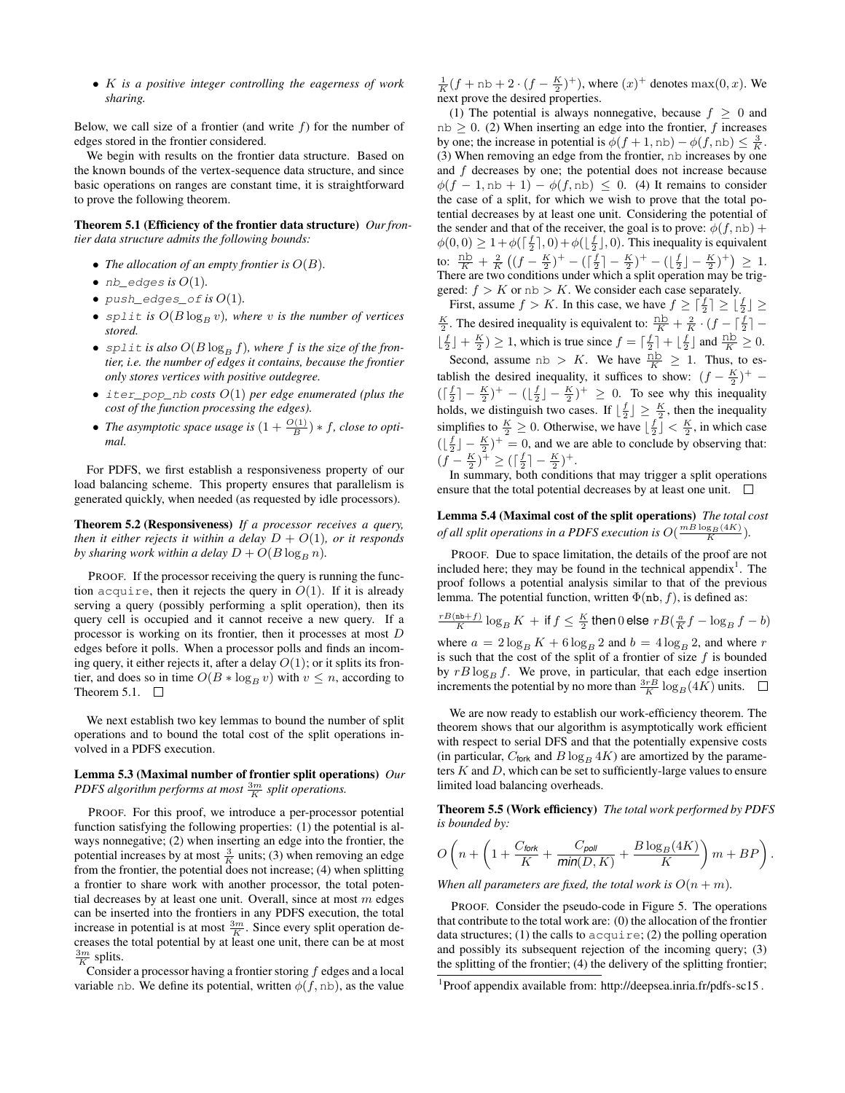• K *is a positive integer controlling the eagerness of work sharing.*

Below, we call size of a frontier (and write  $f$ ) for the number of edges stored in the frontier considered.

We begin with results on the frontier data structure. Based on the known bounds of the vertex-sequence data structure, and since basic operations on ranges are constant time, it is straightforward to prove the following theorem.

Theorem 5.1 (Efficiency of the frontier data structure) *Our frontier data structure admits the following bounds:*

- *The allocation of an empty frontier is*  $O(B)$ *.*
- $\bullet$  *nb\_edges is*  $O(1)$ *.*
- $push\_edges\_of$  *is*  $O(1)$ *.*
- split *is*  $O(B \log_B v)$ *, where v is the number of vertices stored.*
- split *is also*  $O(B \log_B f)$ *, where* f *is the size of the frontier, i.e. the number of edges it contains, because the frontier only stores vertices with positive outdegree.*
- iter\_pop\_nb *costs* O(1) *per edge enumerated (plus the cost of the function processing the edges).*
- *The asymptotic space usage is*  $(1 + \frac{O(1)}{B}) * f$ *, close to optimal.*

For PDFS, we first establish a responsiveness property of our load balancing scheme. This property ensures that parallelism is generated quickly, when needed (as requested by idle processors).

Theorem 5.2 (Responsiveness) *If a processor receives a query, then it either rejects it within a delay*  $D + O(1)$ *, or it responds by sharing work within a delay*  $D + O(B \log_B n)$ *.* 

PROOF. If the processor receiving the query is running the function acquire, then it rejects the query in  $O(1)$ . If it is already serving a query (possibly performing a split operation), then its query cell is occupied and it cannot receive a new query. If a processor is working on its frontier, then it processes at most D edges before it polls. When a processor polls and finds an incoming query, it either rejects it, after a delay  $O(1)$ ; or it splits its frontier, and does so in time  $O(B * \log_B v)$  with  $v \leq n$ , according to Theorem 5.1.  $\Box$ 

We next establish two key lemmas to bound the number of split operations and to bound the total cost of the split operations involved in a PDFS execution.

### Lemma 5.3 (Maximal number of frontier split operations) *Our PDFS algorithm performs at most*  $\frac{3m}{K}$  *split operations.*

PROOF. For this proof, we introduce a per-processor potential function satisfying the following properties: (1) the potential is always nonnegative; (2) when inserting an edge into the frontier, the potential increases by at most  $\frac{3}{K}$  units; (3) when removing an edge from the frontier, the potential does not increase; (4) when splitting a frontier to share work with another processor, the total potential decreases by at least one unit. Overall, since at most  $m$  edges can be inserted into the frontiers in any PDFS execution, the total increase in potential is at most  $\frac{3m}{K}$ . Since every split operation decreases the total potential by at least one unit, there can be at most  $\frac{3m}{K}$  splits.

Consider a processor having a frontier storing  $f$  edges and a local variable nb. We define its potential, written  $\phi(f, nb)$ , as the value

 $\frac{1}{K}(f + nb + 2 \cdot (f - \frac{K}{2})^+)$ , where  $(x)^+$  denotes  $max(0, x)$ . We next prove the desired properties.

(1) The potential is always nonnegative, because  $f \geq 0$  and  $nb \geq 0$ . (2) When inserting an edge into the frontier, f increases by one; the increase in potential is  $\phi(f + 1, nb) - \phi(f, nb) \leq \frac{3}{K}$ . (3) When removing an edge from the frontier, nb increases by one and  $f$  decreases by one; the potential does not increase because  $\phi(f - 1, nb + 1) - \phi(f, nb) \leq 0$ . (4) It remains to consider the case of a split, for which we wish to prove that the total potential decreases by at least one unit. Considering the potential of the sender and that of the receiver, the goal is to prove:  $\phi(f, nb)$  +  $\phi(0,0) \geq 1 + \phi\left(\left\lceil\frac{f}{2}\right\rceil,0\right) + \phi\left(\left\lfloor\frac{f}{2}\right\rfloor,0\right)$ . This inequality is equivalent to:  $\frac{nb}{K} + \frac{2}{K} \left( (f - \frac{K}{2})^+ - (\frac{f}{2}) - \frac{K}{2} \right)^+ - (\frac{f}{2}) - \frac{K}{2} + \frac{K}{2} + \frac{K}{2}$ There are two conditions under which a split operation may be triggered:  $f > K$  or  $nb > K$ . We consider each case separately.

First, assume  $f > K$ . In this case, we have  $f \ge \lceil \frac{f}{2} \rceil \ge \lfloor \frac{f}{2} \rfloor \ge$  $\frac{K}{2}$ . The desired inequality is equivalent to:  $\frac{nb}{K} + \frac{2}{K} \cdot (f - \lceil \frac{f}{2} \rceil \lfloor \frac{f}{2} \rfloor + \frac{K}{2}$ )  $\geq$  1, which is true since  $f = \lceil \frac{f}{2} \rceil + \lfloor \frac{f}{2} \rfloor$  and  $\frac{h}{K} \geq 0$ . Second, assume nb > K. We have  $\frac{h}{K} \ge 1$ . Thus, to establish the desired inequality, it suffices to show:  $(f - \frac{K}{2})^+$  –  $(\lceil \frac{f}{2} \rceil - \frac{K}{2})^+ - (\lfloor \frac{f}{2} \rfloor - \frac{K}{2})^+ \ge 0$ . To see why this inequality holds, we distinguish two cases. If  $\lfloor \frac{f}{2} \rfloor \geq \frac{K}{2}$ , then the inequality simplifies to  $\frac{K}{2} \ge 0$ . Otherwise, we have  $\lfloor \frac{f}{2} \rfloor < \frac{K}{2}$ , in which case  $(\lfloor \frac{f}{2} \rfloor - \frac{K}{2})^+ = 0$ , and we are able to conclude by observing that:  $(f - \frac{K}{2})^+ \geq (\lceil \frac{f}{2} \rceil - \frac{K}{2})^+$ .

In summary, both conditions that may trigger a split operations ensure that the total potential decreases by at least one unit.  $\Box$ 

Lemma 5.4 (Maximal cost of the split operations) *The total cost of all split operations in a PDFS execution is*  $O(\frac{mB \log_B(4K)}{K})$ .

PROOF. Due to space limitation, the details of the proof are not included here; they may be found in the technical appendix<sup>1</sup>. The proof follows a potential analysis similar to that of the previous lemma. The potential function, written  $\Phi$ (nb, f), is defined as:

 $\frac{rB(\ln\!+\!f)}{K}\log_{B}K\, +$  if  $f\leq\frac{K}{2}$  then  $0$  else  $rB(\frac{a}{K}f-\log_{B}f-b)$ 

where  $a = 2 \log_B K + 6 \log_B 2$  and  $b = 4 \log_B 2$ , and where r is such that the cost of the split of a frontier of size  $f$  is bounded by  $rB \log_B f$ . We prove, in particular, that each edge insertion increments the potential by no more than  $\frac{3rB}{K} \log_B(4K)$  units.

We are now ready to establish our work-efficiency theorem. The theorem shows that our algorithm is asymptotically work efficient with respect to serial DFS and that the potentially expensive costs (in particular,  $C_{\text{fork}}$  and  $B \log_B 4K$ ) are amortized by the parameters  $K$  and  $D$ , which can be set to sufficiently-large values to ensure limited load balancing overheads.

Theorem 5.5 (Work efficiency) *The total work performed by PDFS is bounded by:*

$$
O\left(n + \left(1 + \frac{C_{\text{fork}}}{K} + \frac{C_{\text{pool}}}{\text{min}(D, K)} + \frac{B\log_B(4K)}{K}\right)m + BP\right).
$$

*When all parameters are fixed, the total work is*  $O(n + m)$ *.* 

PROOF. Consider the pseudo-code in Figure 5. The operations that contribute to the total work are: (0) the allocation of the frontier data structures; (1) the calls to  $acquire$ ; (2) the polling operation and possibly its subsequent rejection of the incoming query; (3) the splitting of the frontier; (4) the delivery of the splitting frontier;

<sup>&</sup>lt;sup>1</sup>Proof appendix available from: http://deepsea.inria.fr/pdfs-sc15.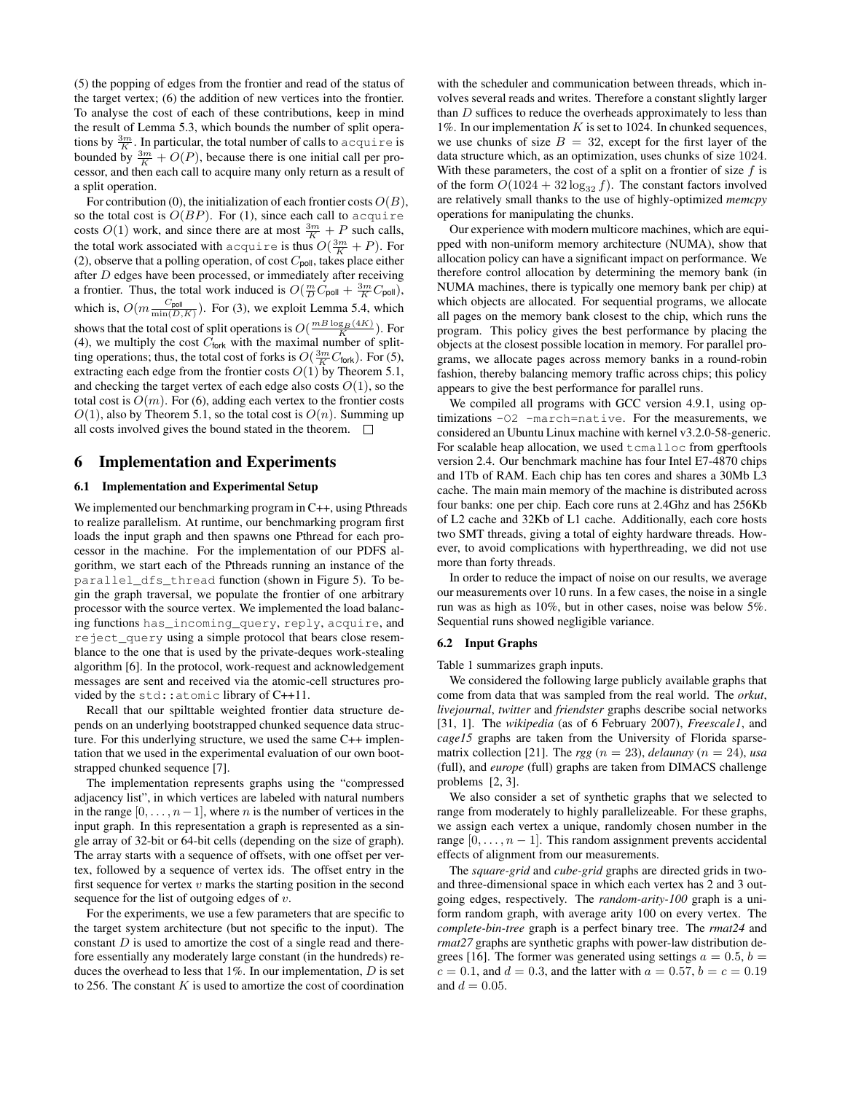(5) the popping of edges from the frontier and read of the status of the target vertex; (6) the addition of new vertices into the frontier. To analyse the cost of each of these contributions, keep in mind the result of Lemma 5.3, which bounds the number of split operations by  $\frac{3m}{K}$ . In particular, the total number of calls to acquire is bounded by  $\frac{3m}{K} + O(P)$ , because there is one initial call per processor, and then each call to acquire many only return as a result of a split operation.

For contribution (0), the initialization of each frontier costs  $O(B)$ , so the total cost is  $O(BP)$ . For (1), since each call to acquire costs  $O(1)$  work, and since there are at most  $\frac{3m}{K} + P$  such calls, the total work associated with acquire is thus  $O(\frac{3m}{K}+P)$ . For (2), observe that a polling operation, of cost  $C_{pol}$ , takes place either after D edges have been processed, or immediately after receiving a frontier. Thus, the total work induced is  $O(\frac{m}{D}C_{\text{pol}} + \frac{3m}{K}C_{\text{pol}})$ , which is,  $O(m \frac{C_{\text{pol}}}{\min(D,K)})$ . For (3), we exploit Lemma 5.4, which shows that the total cost of split operations is  $O(\frac{mB\log_B(4K)}{K})$ . For (4), we multiply the cost  $C<sub>fork</sub>$  with the maximal number of splitting operations; thus, the total cost of forks is  $O(\frac{3m}{K}C_{\text{fork}})$ . For (5), extracting each edge from the frontier costs  $O(1)$  by Theorem 5.1, and checking the target vertex of each edge also costs  $O(1)$ , so the total cost is  $O(m)$ . For (6), adding each vertex to the frontier costs  $O(1)$ , also by Theorem 5.1, so the total cost is  $O(n)$ . Summing up all costs involved gives the bound stated in the theorem.  $\Box$ 

### 6 Implementation and Experiments

### 6.1 Implementation and Experimental Setup

We implemented our benchmarking program in C++, using Pthreads to realize parallelism. At runtime, our benchmarking program first loads the input graph and then spawns one Pthread for each processor in the machine. For the implementation of our PDFS algorithm, we start each of the Pthreads running an instance of the parallel\_dfs\_thread function (shown in Figure 5). To begin the graph traversal, we populate the frontier of one arbitrary processor with the source vertex. We implemented the load balancing functions has\_incoming\_query, reply, acquire, and reject\_query using a simple protocol that bears close resemblance to the one that is used by the private-deques work-stealing algorithm [6]. In the protocol, work-request and acknowledgement messages are sent and received via the atomic-cell structures provided by the std::atomic library of C++11.

Recall that our spilttable weighted frontier data structure depends on an underlying bootstrapped chunked sequence data structure. For this underlying structure, we used the same C++ implentation that we used in the experimental evaluation of our own bootstrapped chunked sequence [7].

The implementation represents graphs using the "compressed adjacency list", in which vertices are labeled with natural numbers in the range  $[0, \ldots, n-1]$ , where *n* is the number of vertices in the input graph. In this representation a graph is represented as a single array of 32-bit or 64-bit cells (depending on the size of graph). The array starts with a sequence of offsets, with one offset per vertex, followed by a sequence of vertex ids. The offset entry in the first sequence for vertex  $v$  marks the starting position in the second sequence for the list of outgoing edges of  $v$ .

For the experiments, we use a few parameters that are specific to the target system architecture (but not specific to the input). The constant  $D$  is used to amortize the cost of a single read and therefore essentially any moderately large constant (in the hundreds) reduces the overhead to less that  $1\%$ . In our implementation,  $D$  is set to 256. The constant  $K$  is used to amortize the cost of coordination

with the scheduler and communication between threads, which involves several reads and writes. Therefore a constant slightly larger than  $D$  suffices to reduce the overheads approximately to less than 1%. In our implementation  $K$  is set to 1024. In chunked sequences, we use chunks of size  $B = 32$ , except for the first layer of the data structure which, as an optimization, uses chunks of size 1024. With these parameters, the cost of a split on a frontier of size  $f$  is of the form  $O(1024 + 32 \log_{32} f)$ . The constant factors involved are relatively small thanks to the use of highly-optimized *memcpy* operations for manipulating the chunks.

Our experience with modern multicore machines, which are equipped with non-uniform memory architecture (NUMA), show that allocation policy can have a significant impact on performance. We therefore control allocation by determining the memory bank (in NUMA machines, there is typically one memory bank per chip) at which objects are allocated. For sequential programs, we allocate all pages on the memory bank closest to the chip, which runs the program. This policy gives the best performance by placing the objects at the closest possible location in memory. For parallel programs, we allocate pages across memory banks in a round-robin fashion, thereby balancing memory traffic across chips; this policy appears to give the best performance for parallel runs.

We compiled all programs with GCC version 4.9.1, using optimizations -O2 -march=native. For the measurements, we considered an Ubuntu Linux machine with kernel v3.2.0-58-generic. For scalable heap allocation, we used tcmalloc from gperftools version 2.4. Our benchmark machine has four Intel E7-4870 chips and 1Tb of RAM. Each chip has ten cores and shares a 30Mb L3 cache. The main main memory of the machine is distributed across four banks: one per chip. Each core runs at 2.4Ghz and has 256Kb of L2 cache and 32Kb of L1 cache. Additionally, each core hosts two SMT threads, giving a total of eighty hardware threads. However, to avoid complications with hyperthreading, we did not use more than forty threads.

In order to reduce the impact of noise on our results, we average our measurements over 10 runs. In a few cases, the noise in a single run was as high as 10%, but in other cases, noise was below 5%. Sequential runs showed negligible variance.

#### 6.2 Input Graphs

Table 1 summarizes graph inputs.

We considered the following large publicly available graphs that come from data that was sampled from the real world. The *orkut*, *livejournal*, *twitter* and *friendster* graphs describe social networks [31, 1]. The *wikipedia* (as of 6 February 2007), *Freescale1*, and *cage15* graphs are taken from the University of Florida sparsematrix collection [21]. The *rgg* ( $n = 23$ ), *delaunay* ( $n = 24$ ), *usa* (full), and *europe* (full) graphs are taken from DIMACS challenge problems [2, 3].

We also consider a set of synthetic graphs that we selected to range from moderately to highly parallelizeable. For these graphs, we assign each vertex a unique, randomly chosen number in the range  $[0, \ldots, n-1]$ . This random assignment prevents accidental effects of alignment from our measurements.

The *square-grid* and *cube-grid* graphs are directed grids in twoand three-dimensional space in which each vertex has 2 and 3 outgoing edges, respectively. The *random-arity-100* graph is a uniform random graph, with average arity 100 on every vertex. The *complete-bin-tree* graph is a perfect binary tree. The *rmat24* and *rmat27* graphs are synthetic graphs with power-law distribution degrees [16]. The former was generated using settings  $a = 0.5$ ,  $b =$  $c = 0.1$ , and  $d = 0.3$ , and the latter with  $a = 0.57$ ,  $b = c = 0.19$ and  $d = 0.05$ .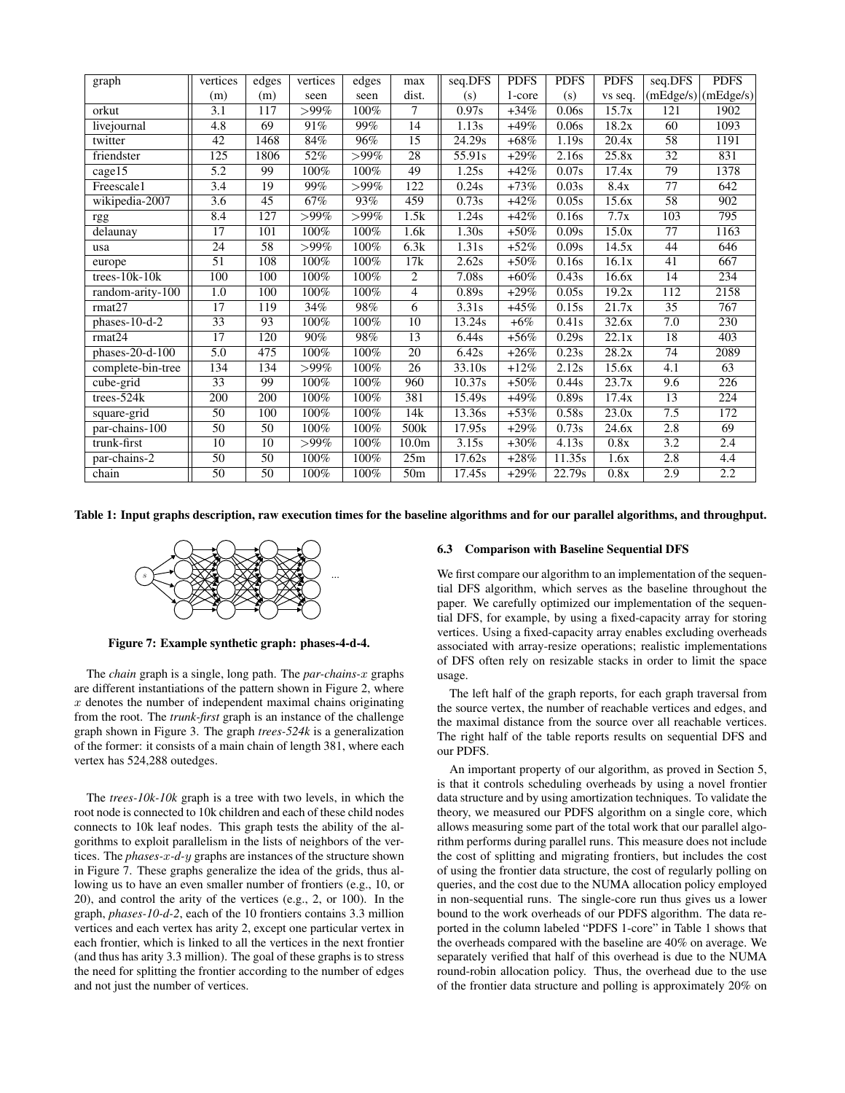| graph             | vertices         | edges | vertices | edges   | max               | seq.DFS             | <b>PDFS</b> | <b>PDFS</b> | <b>PDFS</b>        | seq.DFS          | <b>PDFS</b>           |
|-------------------|------------------|-------|----------|---------|-------------------|---------------------|-------------|-------------|--------------------|------------------|-----------------------|
|                   | (m)              | (m)   | seen     | seen    | dist.             | (s)                 | 1-core      | (s)         | vs seq.            |                  | $(mEdge/s)$ (mEdge/s) |
| orkut             | 3.1              | 117   | $>99\%$  | 100%    | 7                 | 0.97s               | $+34%$      | 0.06s       | 15.7x              | 121              | 1902                  |
| livejournal       | 4.8              | 69    | 91%      | 99%     | 14                | 1.13s               | $+49%$      | 0.06s       | 18.2x              | 60               | 1093                  |
| twitter           | 42               | 1468  | 84%      | 96%     | 15                | 24.29s              | $+68\%$     | 1.19s       | 20.4x              | 58               | 1191                  |
| friendster        | 125              | 1806  | 52%      | $>99\%$ | 28                | 55.91s              | $+29\%$     | 2.16s       | 25.8x              | $\overline{32}$  | 831                   |
| cage15            | 5.2              | 99    | 100%     | 100%    | 49                | 1.25s               | $+42%$      | 0.07s       | 17.4x              | 79               | 1378                  |
| Freescale1        | 3.4              | 19    | 99%      | $>99\%$ | 122               | 0.24s               | $+73%$      | 0.03s       | 8.4x               | $\overline{77}$  | 642                   |
| wikipedia-2007    | 3.6              | 45    | 67%      | 93%     | 459               | 0.73s               | $+42%$      | 0.05s       | 15.6x              | 58               | 902                   |
| rgg               | 8.4              | 127   | $>99\%$  | $>99\%$ | 1.5k              | 1.24s               | $+42%$      | 0.16s       | 7.7x               | $\overline{103}$ | 795                   |
| delaunay          | $\overline{17}$  | 101   | 100%     | 100%    | 1.6k              | 1.30s               | $+50%$      | 0.09s       | 15.0x              | $\overline{77}$  | 1163                  |
| usa               | $\overline{24}$  | 58    | $>99\%$  | 100%    | 6.3k              | 1.31s               | $+52%$      | 0.09s       | 14.5x              | 44               | 646                   |
| europe            | 51               | 108   | 100%     | 100%    | 17k               | 2.62s               | $+50\%$     | 0.16s       | 16.1x              | 41               | 667                   |
| $trees-10k-10k$   | 100              | 100   | 100%     | 100%    | 2                 | 7.08s               | $+60\%$     | 0.43s       | 16.6x              | 14               | 234                   |
| random-arity-100  | 1.0              | 100   | 100%     | 100%    | $\overline{4}$    | 0.89s               | $+29%$      | 0.05s       | $\overline{19.2x}$ | 112              | 2158                  |
| rmat27            | $\overline{17}$  | 119   | 34%      | 98%     | 6                 | 3.31s               | $+45%$      | 0.15s       | 21.7x              | $\overline{35}$  | 767                   |
| $phases-10-d-2$   | 33               | 93    | 100%     | 100%    | 10                | 13.24s              | $+6%$       | 0.41s       | 32.6x              | 7.0              | 230                   |
| rmat24            | 17               | 120   | 90%      | 98%     | 13                | 6.44s               | $+56%$      | 0.29s       | 22.1x              | 18               | 403                   |
| $phases-20-d-100$ | $\overline{5.0}$ | 475   | 100%     | 100%    | $\overline{20}$   | 6.42s               | $+26%$      | 0.23s       | 28.2x              | $\overline{74}$  | 2089                  |
| complete-bin-tree | 134              | 134   | $>99\%$  | 100%    | $\overline{26}$   | $\overline{33.10s}$ | $+12%$      | 2.12s       | 15.6x              | 4.1              | 63                    |
| cube-grid         | 33               | 99    | 100%     | 100%    | 960               | 10.37s              | $+50%$      | 0.44s       | 23.7x              | 9.6              | 226                   |
| trees-524k        | 200              | 200   | 100%     | 100%    | 381               | 15.49s              | $+49%$      | 0.89s       | 17.4x              | 13               | 224                   |
| square-grid       | $\overline{50}$  | 100   | 100%     | 100%    | 14k               | 13.36s              | $+53%$      | 0.58s       | 23.0x              | 7.5              | 172                   |
| par-chains-100    | $\overline{50}$  | 50    | 100%     | 100%    | 500 <sub>k</sub>  | 17.95s              | $+29%$      | 0.73s       | 24.6x              | 2.8              | 69                    |
| trunk-first       | 10               | 10    | $>99\%$  | 100%    | 10.0 <sub>m</sub> | 3.15s               | $+30\%$     | 4.13s       | 0.8x               | 3.2              | 2.4                   |
| par-chains-2      | 50               | 50    | 100%     | 100%    | 25m               | 17.62s              | $+28%$      | 11.35s      | 1.6x               | 2.8              | 4.4                   |
| chain             | 50               | 50    | 100%     | 100%    | 50 <sub>m</sub>   | 17.45s              | $+29%$      | 22.79s      | 0.8x               | 2.9              | 2.2                   |

Table 1: Input graphs description, raw execution times for the baseline algorithms and for our parallel algorithms, and throughput.



Figure 7: Example synthetic graph: phases-4-d-4.

The *chain* graph is a single, long path. The *par-chains-*x graphs are different instantiations of the pattern shown in Figure 2, where  $x$  denotes the number of independent maximal chains originating from the root. The *trunk-first* graph is an instance of the challenge graph shown in Figure 3. The graph *trees-524k* is a generalization of the former: it consists of a main chain of length 381, where each vertex has 524,288 outedges.

The *trees-10k-10k* graph is a tree with two levels, in which the root node is connected to 10k children and each of these child nodes connects to 10k leaf nodes. This graph tests the ability of the algorithms to exploit parallelism in the lists of neighbors of the vertices. The *phases-*x*-d-*y graphs are instances of the structure shown in Figure 7. These graphs generalize the idea of the grids, thus allowing us to have an even smaller number of frontiers (e.g., 10, or 20), and control the arity of the vertices (e.g., 2, or 100). In the graph, *phases-10-d-2*, each of the 10 frontiers contains 3.3 million vertices and each vertex has arity 2, except one particular vertex in each frontier, which is linked to all the vertices in the next frontier (and thus has arity 3.3 million). The goal of these graphs is to stress the need for splitting the frontier according to the number of edges and not just the number of vertices.

#### 6.3 Comparison with Baseline Sequential DFS

We first compare our algorithm to an implementation of the sequential DFS algorithm, which serves as the baseline throughout the paper. We carefully optimized our implementation of the sequential DFS, for example, by using a fixed-capacity array for storing vertices. Using a fixed-capacity array enables excluding overheads associated with array-resize operations; realistic implementations of DFS often rely on resizable stacks in order to limit the space usage.

The left half of the graph reports, for each graph traversal from the source vertex, the number of reachable vertices and edges, and the maximal distance from the source over all reachable vertices. The right half of the table reports results on sequential DFS and our PDFS.

An important property of our algorithm, as proved in Section 5, is that it controls scheduling overheads by using a novel frontier data structure and by using amortization techniques. To validate the theory, we measured our PDFS algorithm on a single core, which allows measuring some part of the total work that our parallel algorithm performs during parallel runs. This measure does not include the cost of splitting and migrating frontiers, but includes the cost of using the frontier data structure, the cost of regularly polling on queries, and the cost due to the NUMA allocation policy employed in non-sequential runs. The single-core run thus gives us a lower bound to the work overheads of our PDFS algorithm. The data reported in the column labeled "PDFS 1-core" in Table 1 shows that the overheads compared with the baseline are 40% on average. We separately verified that half of this overhead is due to the NUMA round-robin allocation policy. Thus, the overhead due to the use of the frontier data structure and polling is approximately 20% on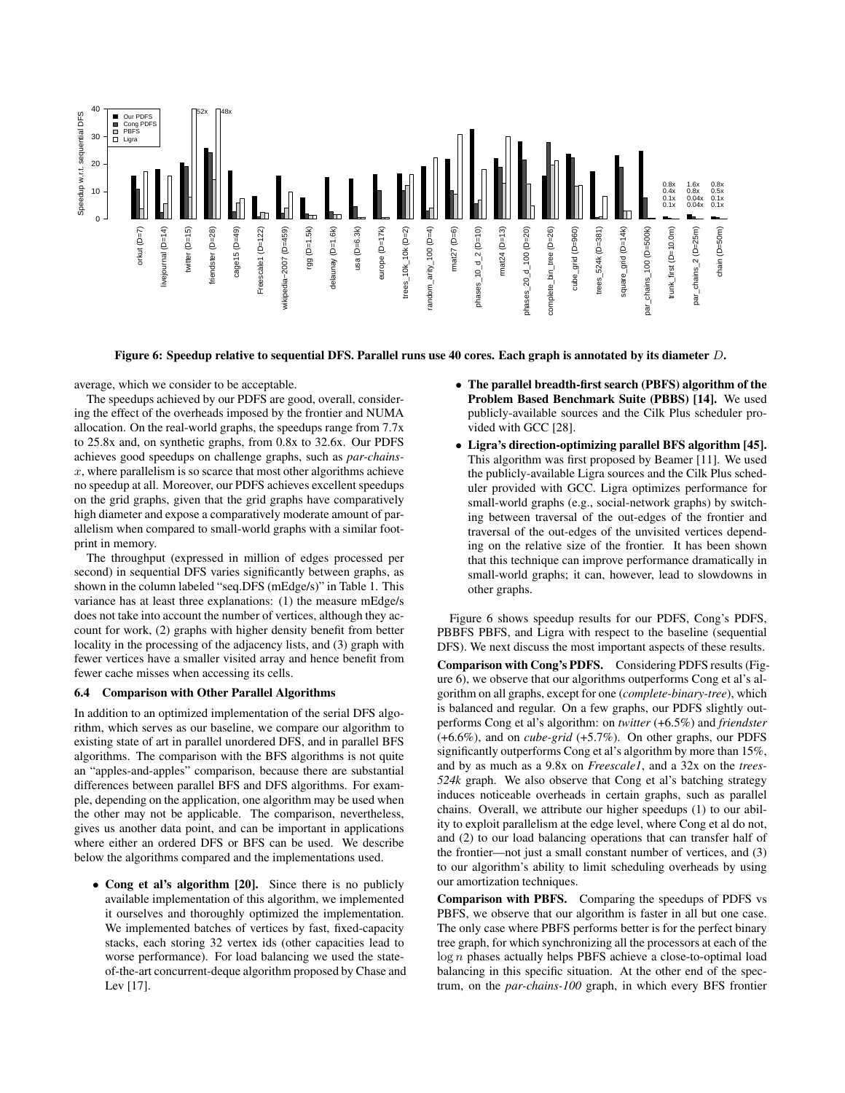

Figure 6: Speedup relative to sequential DFS. Parallel runs use 40 cores. Each graph is annotated by its diameter D.

average, which we consider to be acceptable.

The speedups achieved by our PDFS are good, overall, considering the effect of the overheads imposed by the frontier and NUMA allocation. On the real-world graphs, the speedups range from 7.7x to 25.8x and, on synthetic graphs, from 0.8x to 32.6x. Our PDFS achieves good speedups on challenge graphs, such as *par-chains* $x$ , where parallelism is so scarce that most other algorithms achieve no speedup at all. Moreover, our PDFS achieves excellent speedups on the grid graphs, given that the grid graphs have comparatively high diameter and expose a comparatively moderate amount of parallelism when compared to small-world graphs with a similar footprint in memory.

The throughput (expressed in million of edges processed per second) in sequential DFS varies significantly between graphs, as shown in the column labeled "seq.DFS (mEdge/s)" in Table 1. This variance has at least three explanations: (1) the measure mEdge/s does not take into account the number of vertices, although they account for work, (2) graphs with higher density benefit from better locality in the processing of the adjacency lists, and (3) graph with fewer vertices have a smaller visited array and hence benefit from fewer cache misses when accessing its cells.

#### 6.4 Comparison with Other Parallel Algorithms

In addition to an optimized implementation of the serial DFS algorithm, which serves as our baseline, we compare our algorithm to existing state of art in parallel unordered DFS, and in parallel BFS algorithms. The comparison with the BFS algorithms is not quite an "apples-and-apples" comparison, because there are substantial differences between parallel BFS and DFS algorithms. For example, depending on the application, one algorithm may be used when the other may not be applicable. The comparison, nevertheless, gives us another data point, and can be important in applications where either an ordered DFS or BFS can be used. We describe below the algorithms compared and the implementations used.

• Cong et al's algorithm [20]. Since there is no publicly available implementation of this algorithm, we implemented it ourselves and thoroughly optimized the implementation. We implemented batches of vertices by fast, fixed-capacity stacks, each storing 32 vertex ids (other capacities lead to worse performance). For load balancing we used the stateof-the-art concurrent-deque algorithm proposed by Chase and Lev [17].

- The parallel breadth-first search (PBFS) algorithm of the Problem Based Benchmark Suite (PBBS) [14]. We used publicly-available sources and the Cilk Plus scheduler provided with GCC [28].
- Ligra's direction-optimizing parallel BFS algorithm [45]. This algorithm was first proposed by Beamer [11]. We used the publicly-available Ligra sources and the Cilk Plus scheduler provided with GCC. Ligra optimizes performance for small-world graphs (e.g., social-network graphs) by switching between traversal of the out-edges of the frontier and traversal of the out-edges of the unvisited vertices depending on the relative size of the frontier. It has been shown that this technique can improve performance dramatically in small-world graphs; it can, however, lead to slowdowns in other graphs.

Figure 6 shows speedup results for our PDFS, Cong's PDFS, PBBFS PBFS, and Ligra with respect to the baseline (sequential DFS). We next discuss the most important aspects of these results.

Comparison with Cong's PDFS. Considering PDFS results (Figure 6), we observe that our algorithms outperforms Cong et al's algorithm on all graphs, except for one (*complete-binary-tree*), which is balanced and regular. On a few graphs, our PDFS slightly outperforms Cong et al's algorithm: on *twitter* (+6.5%) and *friendster* (+6.6%), and on *cube-grid* (+5.7%). On other graphs, our PDFS significantly outperforms Cong et al's algorithm by more than 15%, and by as much as a 9.8x on *Freescale1*, and a 32x on the *trees-524k* graph. We also observe that Cong et al's batching strategy induces noticeable overheads in certain graphs, such as parallel chains. Overall, we attribute our higher speedups (1) to our ability to exploit parallelism at the edge level, where Cong et al do not, and (2) to our load balancing operations that can transfer half of the frontier—not just a small constant number of vertices, and (3) to our algorithm's ability to limit scheduling overheads by using our amortization techniques.

Comparison with PBFS. Comparing the speedups of PDFS vs PBFS, we observe that our algorithm is faster in all but one case. The only case where PBFS performs better is for the perfect binary tree graph, for which synchronizing all the processors at each of the log n phases actually helps PBFS achieve a close-to-optimal load balancing in this specific situation. At the other end of the spectrum, on the *par-chains-100* graph, in which every BFS frontier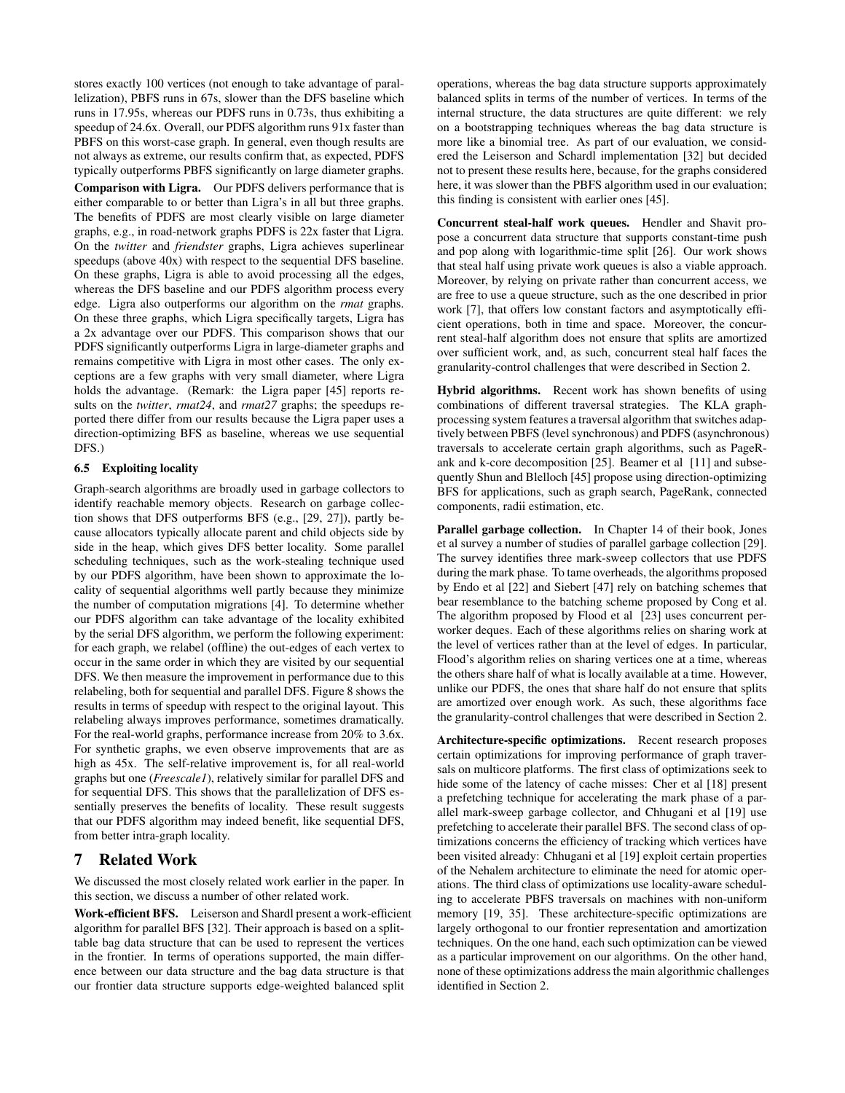stores exactly 100 vertices (not enough to take advantage of parallelization), PBFS runs in 67s, slower than the DFS baseline which runs in 17.95s, whereas our PDFS runs in 0.73s, thus exhibiting a speedup of 24.6x. Overall, our PDFS algorithm runs 91x faster than PBFS on this worst-case graph. In general, even though results are not always as extreme, our results confirm that, as expected, PDFS typically outperforms PBFS significantly on large diameter graphs.

Comparison with Ligra. Our PDFS delivers performance that is either comparable to or better than Ligra's in all but three graphs. The benefits of PDFS are most clearly visible on large diameter graphs, e.g., in road-network graphs PDFS is 22x faster that Ligra. On the *twitter* and *friendster* graphs, Ligra achieves superlinear speedups (above 40x) with respect to the sequential DFS baseline. On these graphs, Ligra is able to avoid processing all the edges, whereas the DFS baseline and our PDFS algorithm process every edge. Ligra also outperforms our algorithm on the *rmat* graphs. On these three graphs, which Ligra specifically targets, Ligra has a 2x advantage over our PDFS. This comparison shows that our PDFS significantly outperforms Ligra in large-diameter graphs and remains competitive with Ligra in most other cases. The only exceptions are a few graphs with very small diameter, where Ligra holds the advantage. (Remark: the Ligra paper [45] reports results on the *twitter*, *rmat24*, and *rmat27* graphs; the speedups reported there differ from our results because the Ligra paper uses a direction-optimizing BFS as baseline, whereas we use sequential DFS.)

### 6.5 Exploiting locality

Graph-search algorithms are broadly used in garbage collectors to identify reachable memory objects. Research on garbage collection shows that DFS outperforms BFS (e.g., [29, 27]), partly because allocators typically allocate parent and child objects side by side in the heap, which gives DFS better locality. Some parallel scheduling techniques, such as the work-stealing technique used by our PDFS algorithm, have been shown to approximate the locality of sequential algorithms well partly because they minimize the number of computation migrations [4]. To determine whether our PDFS algorithm can take advantage of the locality exhibited by the serial DFS algorithm, we perform the following experiment: for each graph, we relabel (offline) the out-edges of each vertex to occur in the same order in which they are visited by our sequential DFS. We then measure the improvement in performance due to this relabeling, both for sequential and parallel DFS. Figure 8 shows the results in terms of speedup with respect to the original layout. This relabeling always improves performance, sometimes dramatically. For the real-world graphs, performance increase from 20% to 3.6x. For synthetic graphs, we even observe improvements that are as high as 45x. The self-relative improvement is, for all real-world graphs but one (*Freescale1*), relatively similar for parallel DFS and for sequential DFS. This shows that the parallelization of DFS essentially preserves the benefits of locality. These result suggests that our PDFS algorithm may indeed benefit, like sequential DFS, from better intra-graph locality.

### 7 Related Work

We discussed the most closely related work earlier in the paper. In this section, we discuss a number of other related work.

Work-efficient BFS. Leiserson and Shardl present a work-efficient algorithm for parallel BFS [32]. Their approach is based on a splittable bag data structure that can be used to represent the vertices in the frontier. In terms of operations supported, the main difference between our data structure and the bag data structure is that our frontier data structure supports edge-weighted balanced split

operations, whereas the bag data structure supports approximately balanced splits in terms of the number of vertices. In terms of the internal structure, the data structures are quite different: we rely on a bootstrapping techniques whereas the bag data structure is more like a binomial tree. As part of our evaluation, we considered the Leiserson and Schardl implementation [32] but decided not to present these results here, because, for the graphs considered here, it was slower than the PBFS algorithm used in our evaluation; this finding is consistent with earlier ones [45].

Concurrent steal-half work queues. Hendler and Shavit propose a concurrent data structure that supports constant-time push and pop along with logarithmic-time split [26]. Our work shows that steal half using private work queues is also a viable approach. Moreover, by relying on private rather than concurrent access, we are free to use a queue structure, such as the one described in prior work [7], that offers low constant factors and asymptotically efficient operations, both in time and space. Moreover, the concurrent steal-half algorithm does not ensure that splits are amortized over sufficient work, and, as such, concurrent steal half faces the granularity-control challenges that were described in Section 2.

Hybrid algorithms. Recent work has shown benefits of using combinations of different traversal strategies. The KLA graphprocessing system features a traversal algorithm that switches adaptively between PBFS (level synchronous) and PDFS (asynchronous) traversals to accelerate certain graph algorithms, such as PageRank and k-core decomposition [25]. Beamer et al [11] and subsequently Shun and Blelloch [45] propose using direction-optimizing BFS for applications, such as graph search, PageRank, connected components, radii estimation, etc.

Parallel garbage collection. In Chapter 14 of their book, Jones et al survey a number of studies of parallel garbage collection [29]. The survey identifies three mark-sweep collectors that use PDFS during the mark phase. To tame overheads, the algorithms proposed by Endo et al [22] and Siebert [47] rely on batching schemes that bear resemblance to the batching scheme proposed by Cong et al. The algorithm proposed by Flood et al [23] uses concurrent perworker deques. Each of these algorithms relies on sharing work at the level of vertices rather than at the level of edges. In particular, Flood's algorithm relies on sharing vertices one at a time, whereas the others share half of what is locally available at a time. However, unlike our PDFS, the ones that share half do not ensure that splits are amortized over enough work. As such, these algorithms face the granularity-control challenges that were described in Section 2.

Architecture-specific optimizations. Recent research proposes certain optimizations for improving performance of graph traversals on multicore platforms. The first class of optimizations seek to hide some of the latency of cache misses: Cher et al [18] present a prefetching technique for accelerating the mark phase of a parallel mark-sweep garbage collector, and Chhugani et al [19] use prefetching to accelerate their parallel BFS. The second class of optimizations concerns the efficiency of tracking which vertices have been visited already: Chhugani et al [19] exploit certain properties of the Nehalem architecture to eliminate the need for atomic operations. The third class of optimizations use locality-aware scheduling to accelerate PBFS traversals on machines with non-uniform memory [19, 35]. These architecture-specific optimizations are largely orthogonal to our frontier representation and amortization techniques. On the one hand, each such optimization can be viewed as a particular improvement on our algorithms. On the other hand, none of these optimizations address the main algorithmic challenges identified in Section 2.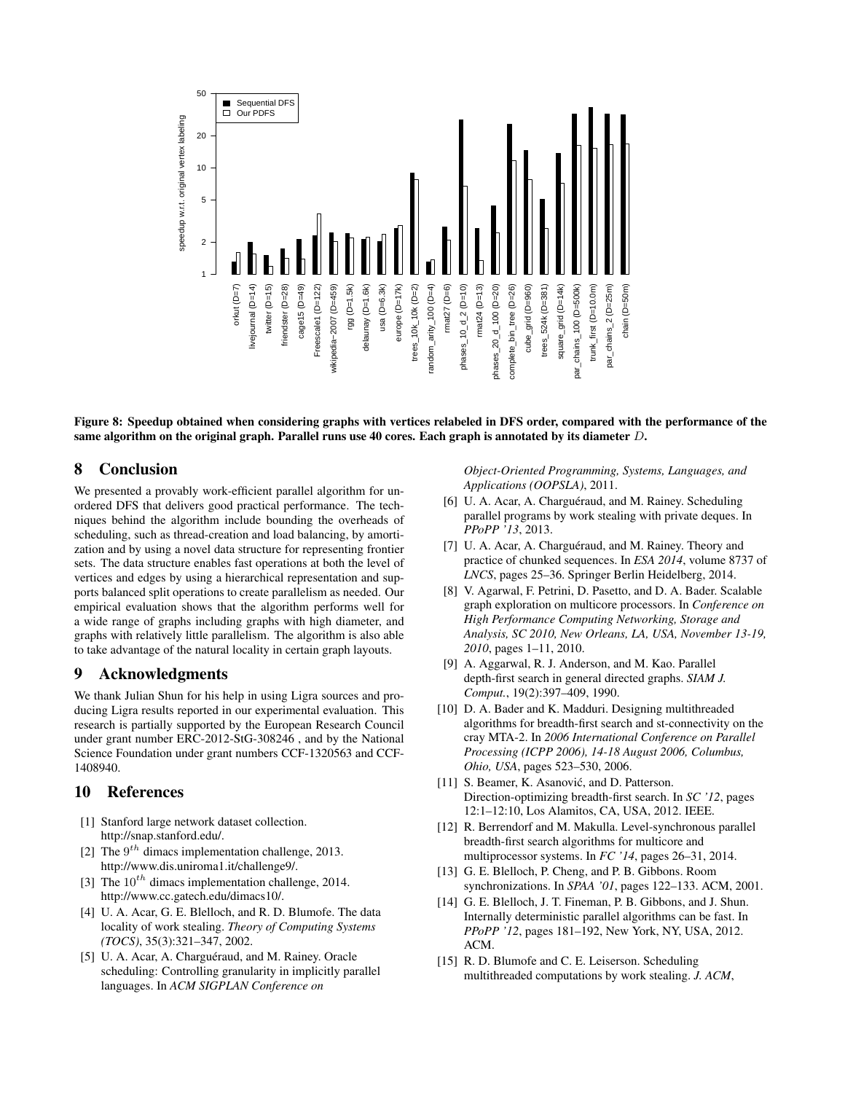

Figure 8: Speedup obtained when considering graphs with vertices relabeled in DFS order, compared with the performance of the same algorithm on the original graph. Parallel runs use 40 cores. Each graph is annotated by its diameter  $D$ .

### 8 Conclusion

We presented a provably work-efficient parallel algorithm for unordered DFS that delivers good practical performance. The techniques behind the algorithm include bounding the overheads of scheduling, such as thread-creation and load balancing, by amortization and by using a novel data structure for representing frontier sets. The data structure enables fast operations at both the level of vertices and edges by using a hierarchical representation and supports balanced split operations to create parallelism as needed. Our empirical evaluation shows that the algorithm performs well for a wide range of graphs including graphs with high diameter, and graphs with relatively little parallelism. The algorithm is also able to take advantage of the natural locality in certain graph layouts.

## 9 Acknowledgments

We thank Julian Shun for his help in using Ligra sources and producing Ligra results reported in our experimental evaluation. This research is partially supported by the European Research Council under grant number ERC-2012-StG-308246 , and by the National Science Foundation under grant numbers CCF-1320563 and CCF-1408940.

## 10 References

- [1] Stanford large network dataset collection. http://snap.stanford.edu/.
- [2] The  $9^{th}$  dimacs implementation challenge, 2013. http://www.dis.uniroma1.it/challenge9/.
- [3] The  $10^{th}$  dimacs implementation challenge, 2014. http://www.cc.gatech.edu/dimacs10/.
- [4] U. A. Acar, G. E. Blelloch, and R. D. Blumofe. The data locality of work stealing. *Theory of Computing Systems (TOCS)*, 35(3):321–347, 2002.
- [5] U. A. Acar, A. Charguéraud, and M. Rainey. Oracle scheduling: Controlling granularity in implicitly parallel languages. In *ACM SIGPLAN Conference on*

*Object-Oriented Programming, Systems, Languages, and Applications (OOPSLA)*, 2011.

- [6] U. A. Acar, A. Charguéraud, and M. Rainey. Scheduling parallel programs by work stealing with private deques. In *PPoPP '13*, 2013.
- [7] U. A. Acar, A. Charguéraud, and M. Rainey. Theory and practice of chunked sequences. In *ESA 2014*, volume 8737 of *LNCS*, pages 25–36. Springer Berlin Heidelberg, 2014.
- [8] V. Agarwal, F. Petrini, D. Pasetto, and D. A. Bader. Scalable graph exploration on multicore processors. In *Conference on High Performance Computing Networking, Storage and Analysis, SC 2010, New Orleans, LA, USA, November 13-19, 2010*, pages 1–11, 2010.
- [9] A. Aggarwal, R. J. Anderson, and M. Kao. Parallel depth-first search in general directed graphs. *SIAM J. Comput.*, 19(2):397–409, 1990.
- [10] D. A. Bader and K. Madduri. Designing multithreaded algorithms for breadth-first search and st-connectivity on the cray MTA-2. In *2006 International Conference on Parallel Processing (ICPP 2006), 14-18 August 2006, Columbus, Ohio, USA*, pages 523–530, 2006.
- [11] S. Beamer, K. Asanović, and D. Patterson. Direction-optimizing breadth-first search. In *SC '12*, pages 12:1–12:10, Los Alamitos, CA, USA, 2012. IEEE.
- [12] R. Berrendorf and M. Makulla. Level-synchronous parallel breadth-first search algorithms for multicore and multiprocessor systems. In *FC '14*, pages 26–31, 2014.
- [13] G. E. Blelloch, P. Cheng, and P. B. Gibbons. Room synchronizations. In *SPAA '01*, pages 122–133. ACM, 2001.
- [14] G. E. Blelloch, J. T. Fineman, P. B. Gibbons, and J. Shun. Internally deterministic parallel algorithms can be fast. In *PPoPP '12*, pages 181–192, New York, NY, USA, 2012. ACM.
- [15] R. D. Blumofe and C. E. Leiserson. Scheduling multithreaded computations by work stealing. *J. ACM*,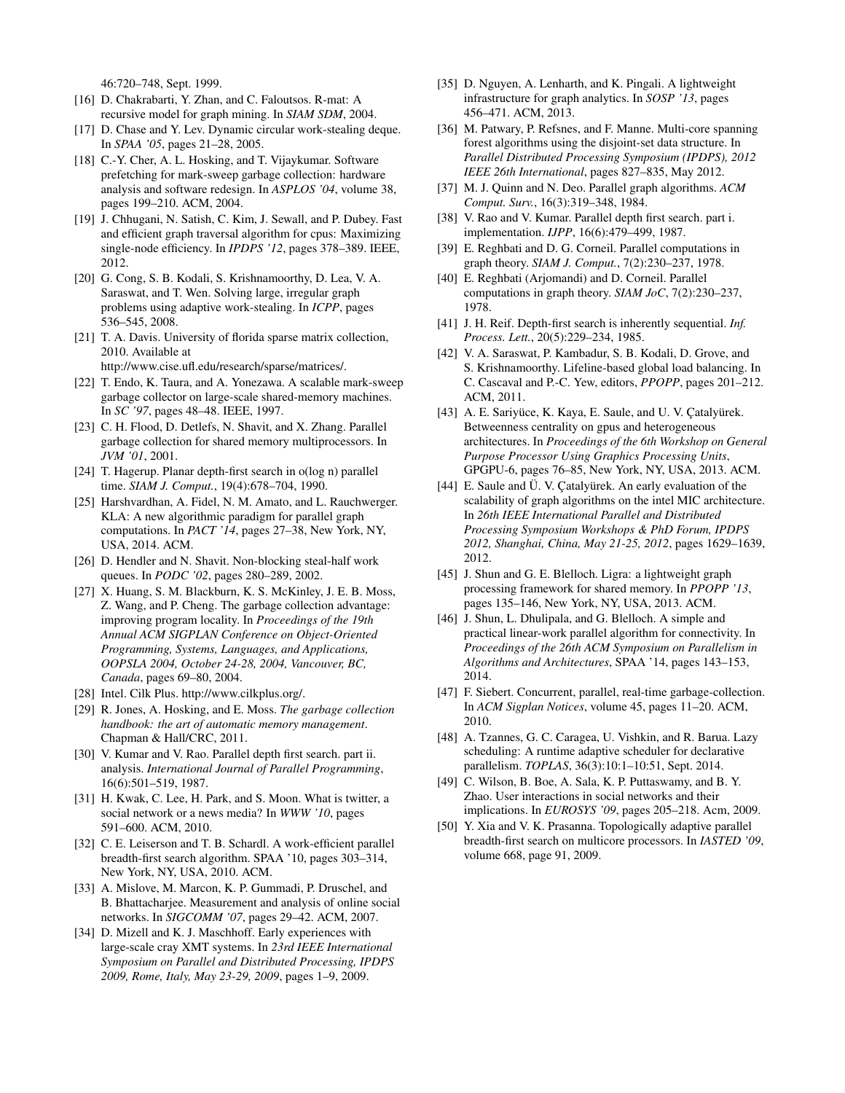46:720–748, Sept. 1999.

- [16] D. Chakrabarti, Y. Zhan, and C. Faloutsos. R-mat: A recursive model for graph mining. In *SIAM SDM*, 2004.
- [17] D. Chase and Y. Lev. Dynamic circular work-stealing deque. In *SPAA '05*, pages 21–28, 2005.
- [18] C.-Y. Cher, A. L. Hosking, and T. Vijaykumar. Software prefetching for mark-sweep garbage collection: hardware analysis and software redesign. In *ASPLOS '04*, volume 38, pages 199–210. ACM, 2004.
- [19] J. Chhugani, N. Satish, C. Kim, J. Sewall, and P. Dubey. Fast and efficient graph traversal algorithm for cpus: Maximizing single-node efficiency. In *IPDPS '12*, pages 378–389. IEEE, 2012.
- [20] G. Cong, S. B. Kodali, S. Krishnamoorthy, D. Lea, V. A. Saraswat, and T. Wen. Solving large, irregular graph problems using adaptive work-stealing. In *ICPP*, pages 536–545, 2008.
- [21] T. A. Davis. University of florida sparse matrix collection, 2010. Available at
	- http://www.cise.ufl.edu/research/sparse/matrices/.
- [22] T. Endo, K. Taura, and A. Yonezawa. A scalable mark-sweep garbage collector on large-scale shared-memory machines. In *SC '97*, pages 48–48. IEEE, 1997.
- [23] C. H. Flood, D. Detlefs, N. Shavit, and X. Zhang. Parallel garbage collection for shared memory multiprocessors. In *JVM '01*, 2001.
- [24] T. Hagerup. Planar depth-first search in o(log n) parallel time. *SIAM J. Comput.*, 19(4):678–704, 1990.
- [25] Harshvardhan, A. Fidel, N. M. Amato, and L. Rauchwerger. KLA: A new algorithmic paradigm for parallel graph computations. In *PACT '14*, pages 27–38, New York, NY, USA, 2014. ACM.
- [26] D. Hendler and N. Shavit. Non-blocking steal-half work queues. In *PODC '02*, pages 280–289, 2002.
- [27] X. Huang, S. M. Blackburn, K. S. McKinley, J. E. B. Moss, Z. Wang, and P. Cheng. The garbage collection advantage: improving program locality. In *Proceedings of the 19th Annual ACM SIGPLAN Conference on Object-Oriented Programming, Systems, Languages, and Applications, OOPSLA 2004, October 24-28, 2004, Vancouver, BC, Canada*, pages 69–80, 2004.
- [28] Intel. Cilk Plus. http://www.cilkplus.org/.
- [29] R. Jones, A. Hosking, and E. Moss. *The garbage collection handbook: the art of automatic memory management*. Chapman & Hall/CRC, 2011.
- [30] V. Kumar and V. Rao. Parallel depth first search. part ii. analysis. *International Journal of Parallel Programming*, 16(6):501–519, 1987.
- [31] H. Kwak, C. Lee, H. Park, and S. Moon. What is twitter, a social network or a news media? In *WWW '10*, pages 591–600. ACM, 2010.
- [32] C. E. Leiserson and T. B. Schardl. A work-efficient parallel breadth-first search algorithm. SPAA '10, pages 303–314, New York, NY, USA, 2010. ACM.
- [33] A. Mislove, M. Marcon, K. P. Gummadi, P. Druschel, and B. Bhattacharjee. Measurement and analysis of online social networks. In *SIGCOMM '07*, pages 29–42. ACM, 2007.
- [34] D. Mizell and K. J. Maschhoff. Early experiences with large-scale cray XMT systems. In *23rd IEEE International Symposium on Parallel and Distributed Processing, IPDPS 2009, Rome, Italy, May 23-29, 2009*, pages 1–9, 2009.
- [35] D. Nguyen, A. Lenharth, and K. Pingali. A lightweight infrastructure for graph analytics. In *SOSP '13*, pages 456–471. ACM, 2013.
- [36] M. Patwary, P. Refsnes, and F. Manne. Multi-core spanning forest algorithms using the disjoint-set data structure. In *Parallel Distributed Processing Symposium (IPDPS), 2012 IEEE 26th International*, pages 827–835, May 2012.
- [37] M. J. Quinn and N. Deo. Parallel graph algorithms. *ACM Comput. Surv.*, 16(3):319–348, 1984.
- [38] V. Rao and V. Kumar. Parallel depth first search. part i. implementation. *IJPP*, 16(6):479–499, 1987.
- [39] E. Reghbati and D. G. Corneil. Parallel computations in graph theory. *SIAM J. Comput.*, 7(2):230–237, 1978.
- [40] E. Reghbati (Arjomandi) and D. Corneil. Parallel computations in graph theory. *SIAM JoC*, 7(2):230–237, 1978.
- [41] J. H. Reif. Depth-first search is inherently sequential. *Inf. Process. Lett.*, 20(5):229–234, 1985.
- [42] V. A. Saraswat, P. Kambadur, S. B. Kodali, D. Grove, and S. Krishnamoorthy. Lifeline-based global load balancing. In C. Cascaval and P.-C. Yew, editors, *PPOPP*, pages 201–212. ACM, 2011.
- [43] A. E. Sariyüce, K. Kaya, E. Saule, and U. V. Catalyürek. Betweenness centrality on gpus and heterogeneous architectures. In *Proceedings of the 6th Workshop on General Purpose Processor Using Graphics Processing Units*, GPGPU-6, pages 76–85, New York, NY, USA, 2013. ACM.
- [44] E. Saule and Ü. V. Çatalyürek. An early evaluation of the scalability of graph algorithms on the intel MIC architecture. In *26th IEEE International Parallel and Distributed Processing Symposium Workshops & PhD Forum, IPDPS 2012, Shanghai, China, May 21-25, 2012*, pages 1629–1639, 2012.
- [45] J. Shun and G. E. Blelloch. Ligra: a lightweight graph processing framework for shared memory. In *PPOPP '13*, pages 135–146, New York, NY, USA, 2013. ACM.
- [46] J. Shun, L. Dhulipala, and G. Blelloch. A simple and practical linear-work parallel algorithm for connectivity. In *Proceedings of the 26th ACM Symposium on Parallelism in Algorithms and Architectures*, SPAA '14, pages 143–153, 2014.
- [47] F. Siebert. Concurrent, parallel, real-time garbage-collection. In *ACM Sigplan Notices*, volume 45, pages 11–20. ACM, 2010.
- [48] A. Tzannes, G. C. Caragea, U. Vishkin, and R. Barua. Lazy scheduling: A runtime adaptive scheduler for declarative parallelism. *TOPLAS*, 36(3):10:1–10:51, Sept. 2014.
- [49] C. Wilson, B. Boe, A. Sala, K. P. Puttaswamy, and B. Y. Zhao. User interactions in social networks and their implications. In *EUROSYS '09*, pages 205–218. Acm, 2009.
- [50] Y. Xia and V. K. Prasanna. Topologically adaptive parallel breadth-first search on multicore processors. In *IASTED '09*, volume 668, page 91, 2009.